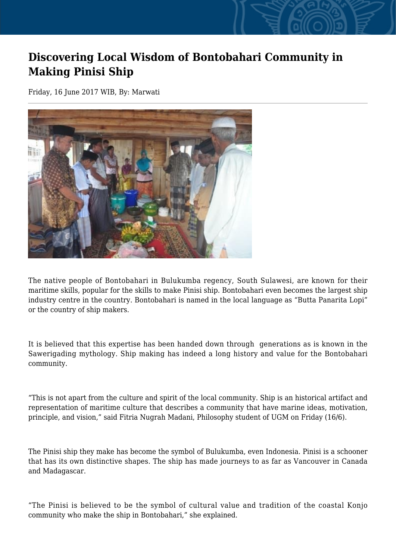## **Discovering Local Wisdom of Bontobahari Community in Making Pinisi Ship**

Friday, 16 June 2017 WIB, By: Marwati



The native people of Bontobahari in Bulukumba regency, South Sulawesi, are known for their maritime skills, popular for the skills to make Pinisi ship. Bontobahari even becomes the largest ship industry centre in the country. Bontobahari is named in the local language as "Butta Panarita Lopi" or the country of ship makers.

It is believed that this expertise has been handed down through generations as is known in the Sawerigading mythology. Ship making has indeed a long history and value for the Bontobahari community.

"This is not apart from the culture and spirit of the local community. Ship is an historical artifact and representation of maritime culture that describes a community that have marine ideas, motivation, principle, and vision," said Fitria Nugrah Madani, Philosophy student of UGM on Friday (16/6).

The Pinisi ship they make has become the symbol of Bulukumba, even Indonesia. Pinisi is a schooner that has its own distinctive shapes. The ship has made journeys to as far as Vancouver in Canada and Madagascar.

"The Pinisi is believed to be the symbol of cultural value and tradition of the coastal Konjo community who make the ship in Bontobahari," she explained.